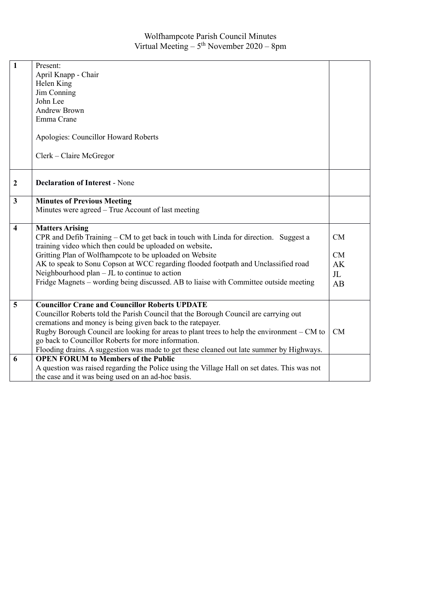| $\overline{1}$          |                                                                                              |                |  |  |
|-------------------------|----------------------------------------------------------------------------------------------|----------------|--|--|
|                         | Present:                                                                                     |                |  |  |
|                         | April Knapp - Chair                                                                          |                |  |  |
|                         | Helen King                                                                                   |                |  |  |
|                         | Jim Conning                                                                                  |                |  |  |
|                         | John Lee                                                                                     |                |  |  |
|                         | <b>Andrew Brown</b>                                                                          |                |  |  |
|                         | Emma Crane                                                                                   |                |  |  |
|                         |                                                                                              |                |  |  |
|                         | Apologies: Councillor Howard Roberts                                                         |                |  |  |
|                         |                                                                                              |                |  |  |
|                         | Clerk – Claire McGregor                                                                      |                |  |  |
|                         |                                                                                              |                |  |  |
|                         |                                                                                              |                |  |  |
| $\boldsymbol{2}$        | <b>Declaration of Interest - None</b>                                                        |                |  |  |
|                         |                                                                                              |                |  |  |
| $\mathbf{3}$            | <b>Minutes of Previous Meeting</b>                                                           |                |  |  |
|                         | Minutes were agreed – True Account of last meeting                                           |                |  |  |
|                         |                                                                                              |                |  |  |
| $\overline{\mathbf{4}}$ | <b>Matters Arising</b>                                                                       |                |  |  |
|                         | CPR and Defib Training - CM to get back in touch with Linda for direction. Suggest a         | CM             |  |  |
|                         | training video which then could be uploaded on website.                                      |                |  |  |
|                         | Gritting Plan of Wolfhampcote to be uploaded on Website                                      | CM             |  |  |
|                         | AK to speak to Sonu Copson at WCC regarding flooded footpath and Unclassified road           | AK             |  |  |
|                         | Neighbourhood plan - JL to continue to action                                                | J <sub>L</sub> |  |  |
|                         | Fridge Magnets – wording being discussed. AB to liaise with Committee outside meeting        | AB             |  |  |
|                         |                                                                                              |                |  |  |
| 5                       | <b>Councillor Crane and Councillor Roberts UPDATE</b>                                        |                |  |  |
|                         | Councillor Roberts told the Parish Council that the Borough Council are carrying out         |                |  |  |
|                         |                                                                                              |                |  |  |
|                         | cremations and money is being given back to the ratepayer.                                   |                |  |  |
|                         | Rugby Borough Council are looking for areas to plant trees to help the environment – CM to   | CM             |  |  |
|                         | go back to Councillor Roberts for more information.                                          |                |  |  |
|                         | Flooding drains. A suggestion was made to get these cleaned out late summer by Highways.     |                |  |  |
| 6                       | <b>OPEN FORUM to Members of the Public</b>                                                   |                |  |  |
|                         | A question was raised regarding the Police using the Village Hall on set dates. This was not |                |  |  |
|                         | the case and it was being used on an ad-hoc basis.                                           |                |  |  |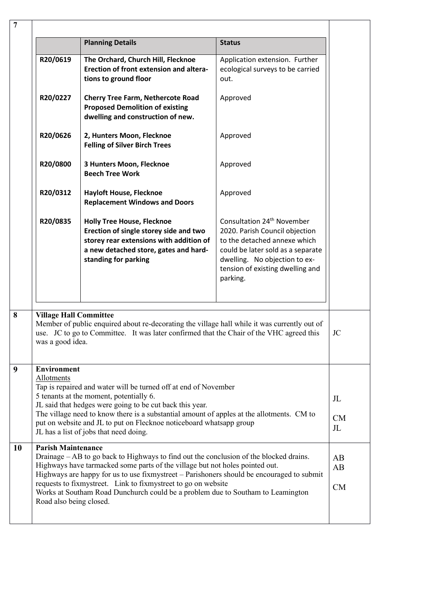| $\overline{7}$          |                                                                                                                                                                                                                                                                                                                                                                                                                                                                                                   |                                                                                                                                                                                         |                                                                                                                                                                                                                                |                                |  |
|-------------------------|---------------------------------------------------------------------------------------------------------------------------------------------------------------------------------------------------------------------------------------------------------------------------------------------------------------------------------------------------------------------------------------------------------------------------------------------------------------------------------------------------|-----------------------------------------------------------------------------------------------------------------------------------------------------------------------------------------|--------------------------------------------------------------------------------------------------------------------------------------------------------------------------------------------------------------------------------|--------------------------------|--|
|                         |                                                                                                                                                                                                                                                                                                                                                                                                                                                                                                   | <b>Planning Details</b>                                                                                                                                                                 | <b>Status</b>                                                                                                                                                                                                                  |                                |  |
|                         | R20/0619                                                                                                                                                                                                                                                                                                                                                                                                                                                                                          | The Orchard, Church Hill, Flecknoe<br>Erection of front extension and altera-<br>tions to ground floor                                                                                  | Application extension. Further<br>ecological surveys to be carried<br>out.                                                                                                                                                     |                                |  |
|                         | R20/0227                                                                                                                                                                                                                                                                                                                                                                                                                                                                                          | <b>Cherry Tree Farm, Nethercote Road</b><br><b>Proposed Demolition of existing</b><br>dwelling and construction of new.                                                                 | Approved                                                                                                                                                                                                                       |                                |  |
|                         | R20/0626                                                                                                                                                                                                                                                                                                                                                                                                                                                                                          | 2, Hunters Moon, Flecknoe<br><b>Felling of Silver Birch Trees</b>                                                                                                                       | Approved                                                                                                                                                                                                                       |                                |  |
|                         | R20/0800                                                                                                                                                                                                                                                                                                                                                                                                                                                                                          | 3 Hunters Moon, Flecknoe<br><b>Beech Tree Work</b>                                                                                                                                      | Approved                                                                                                                                                                                                                       |                                |  |
|                         | R20/0312                                                                                                                                                                                                                                                                                                                                                                                                                                                                                          | <b>Hayloft House, Flecknoe</b><br><b>Replacement Windows and Doors</b>                                                                                                                  | Approved                                                                                                                                                                                                                       |                                |  |
|                         | R20/0835                                                                                                                                                                                                                                                                                                                                                                                                                                                                                          | <b>Holly Tree House, Flecknoe</b><br>Erection of single storey side and two<br>storey rear extensions with addition of<br>a new detached store, gates and hard-<br>standing for parking | Consultation 24 <sup>th</sup> November<br>2020. Parish Council objection<br>to the detached annexe which<br>could be later sold as a separate<br>dwelling. No objection to ex-<br>tension of existing dwelling and<br>parking. |                                |  |
| $\overline{\mathbf{8}}$ | <b>Village Hall Committee</b><br>Member of public enquired about re-decorating the village hall while it was currently out of<br>use. JC to go to Committee. It was later confirmed that the Chair of the VHC agreed this<br><b>JC</b><br>was a good idea.                                                                                                                                                                                                                                        |                                                                                                                                                                                         |                                                                                                                                                                                                                                |                                |  |
| 9                       | <b>Environment</b><br>Allotments<br>Tap is repaired and water will be turned off at end of November<br>5 tenants at the moment, potentially 6.<br>JL said that hedges were going to be cut back this year.<br>The village need to know there is a substantial amount of apples at the allotments. CM to<br>put on website and JL to put on Flecknoe noticeboard whatsapp group<br>JL has a list of jobs that need doing.                                                                          |                                                                                                                                                                                         |                                                                                                                                                                                                                                | JL<br><b>CM</b><br>$J_{\rm L}$ |  |
| 10                      | <b>Parish Maintenance</b><br>Drainage – AB to go back to Highways to find out the conclusion of the blocked drains.<br>AB<br>Highways have tarmacked some parts of the village but not holes pointed out.<br>AB<br>Highways are happy for us to use fixmystreet - Parishoners should be encouraged to submit<br>requests to fixmystreet. Link to fixmystreet to go on website<br>CM<br>Works at Southam Road Dunchurch could be a problem due to Southam to Leamington<br>Road also being closed. |                                                                                                                                                                                         |                                                                                                                                                                                                                                |                                |  |